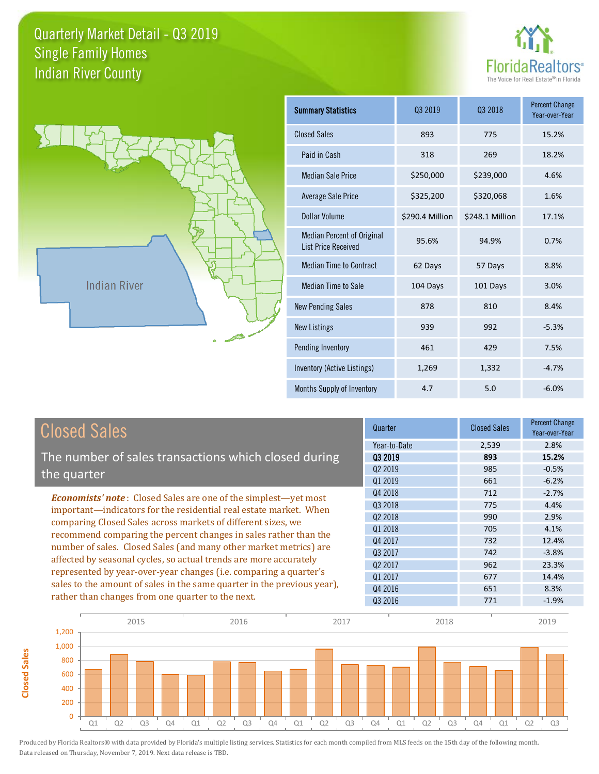



**Closed Sales**

**Closed Sales** 

| <b>Summary Statistics</b>                                       | 03 2019         | 03 2018         | <b>Percent Change</b><br>Year-over-Year |
|-----------------------------------------------------------------|-----------------|-----------------|-----------------------------------------|
| <b>Closed Sales</b>                                             | 893             | 775             | 15.2%                                   |
| Paid in Cash                                                    | 318             | 269             | 18.2%                                   |
| <b>Median Sale Price</b>                                        | \$250,000       | \$239,000       | 4.6%                                    |
| <b>Average Sale Price</b>                                       | \$325,200       | \$320,068       | 1.6%                                    |
| Dollar Volume                                                   | \$290.4 Million | \$248.1 Million | 17.1%                                   |
| <b>Median Percent of Original</b><br><b>List Price Received</b> | 95.6%           | 94.9%           | 0.7%                                    |
| <b>Median Time to Contract</b>                                  | 62 Days         | 57 Days         | 8.8%                                    |
| Median Time to Sale                                             | 104 Days        | 101 Days        | 3.0%                                    |
| <b>New Pending Sales</b>                                        | 878             | 810             | 8.4%                                    |
| <b>New Listings</b>                                             | 939             | 992             | $-5.3%$                                 |
| Pending Inventory                                               | 461             | 429             | 7.5%                                    |
| Inventory (Active Listings)                                     | 1,269           | 1,332           | $-4.7%$                                 |
| Months Supply of Inventory                                      | 4.7             | 5.0             | $-6.0%$                                 |

| <b>Closed Sales</b>                                                                                                                                                                                   | Quarter             | <b>Closed Sales</b> | Percent Change<br>Year-over-Year |
|-------------------------------------------------------------------------------------------------------------------------------------------------------------------------------------------------------|---------------------|---------------------|----------------------------------|
|                                                                                                                                                                                                       | Year-to-Date        | 2,539               | 2.8%                             |
| The number of sales transactions which closed during                                                                                                                                                  | 03 2019             | 893                 | 15.2%                            |
| the quarter                                                                                                                                                                                           | Q <sub>2</sub> 2019 | 985                 | $-0.5%$                          |
|                                                                                                                                                                                                       | Q1 2019             | 661                 | $-6.2%$                          |
| <b>Economists' note:</b> Closed Sales are one of the simplest—yet most                                                                                                                                | Q4 2018             | 712                 | $-2.7%$                          |
| important—indicators for the residential real estate market. When                                                                                                                                     | Q3 2018             | 775                 | 4.4%                             |
| comparing Closed Sales across markets of different sizes, we<br>recommend comparing the percent changes in sales rather than the<br>number of sales. Closed Sales (and many other market metrics) are | Q <sub>2</sub> 2018 | 990                 | 2.9%                             |
|                                                                                                                                                                                                       | Q1 2018             | 705                 | 4.1%                             |
|                                                                                                                                                                                                       | Q4 2017             | 732                 | 12.4%                            |
|                                                                                                                                                                                                       | Q3 2017             | 742                 | $-3.8%$                          |
| affected by seasonal cycles, so actual trends are more accurately                                                                                                                                     | 02 2017             | 962                 | 23.3%                            |
| represented by year-over-year changes (i.e. comparing a quarter's                                                                                                                                     | 01 2017             | 677                 | 14.4%                            |
| sales to the amount of sales in the same quarter in the previous year),                                                                                                                               | Q4 2016             | 651                 | 8.3%                             |
| rather than changes from one quarter to the next.                                                                                                                                                     | Q3 2016             | 771                 | $-1.9%$                          |

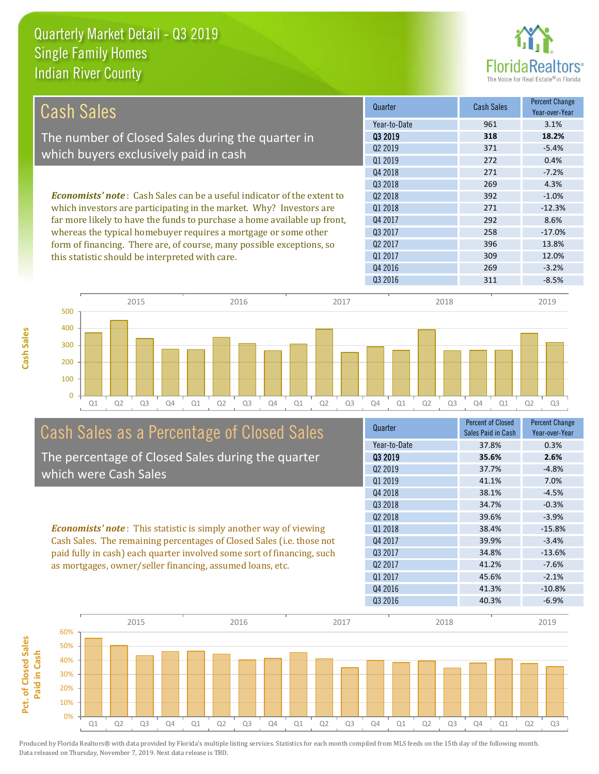

| Cash Sales                                                                     | Quarter             | <b>Cash Sales</b> | <b>Percent Change</b><br>Year-over-Year |
|--------------------------------------------------------------------------------|---------------------|-------------------|-----------------------------------------|
|                                                                                | Year-to-Date        | 961               | 3.1%                                    |
| The number of Closed Sales during the quarter in                               | 03 2019             | 318               | 18.2%                                   |
| which buyers exclusively paid in cash                                          | 02 2019             | 371               | $-5.4%$                                 |
|                                                                                | 01 2019             | 272               | 0.4%                                    |
|                                                                                | Q4 2018             | 271               | $-7.2%$                                 |
|                                                                                | Q3 2018             | 269               | 4.3%                                    |
| <b>Economists' note:</b> Cash Sales can be a useful indicator of the extent to | 02 2018             | 392               | $-1.0%$                                 |
| which investors are participating in the market. Why? Investors are            | 01 2018             | 271               | $-12.3%$                                |
| far more likely to have the funds to purchase a home available up front,       | Q4 2017             | 292               | 8.6%                                    |
| whereas the typical homebuyer requires a mortgage or some other                | 03 2017             | 258               | $-17.0%$                                |
| form of financing. There are, of course, many possible exceptions, so          | Q <sub>2</sub> 2017 | 396               | 13.8%                                   |
| this statistic should be interpreted with care.                                | Q1 2017             | 309               | 12.0%                                   |
|                                                                                | Q4 2016             | 269               | $-3.2%$                                 |
|                                                                                | 03 2016             | 311               | $-8.5%$                                 |



# Cash Sales as a Percentage of Closed Sales The percentage of Closed Sales during the quarter

which were Cash Sales

*Economists' note* : This statistic is simply another way of viewing Cash Sales. The remaining percentages of Closed Sales (i.e. those not paid fully in cash) each quarter involved some sort of financing, such as mortgages, owner/seller financing, assumed loans, etc.



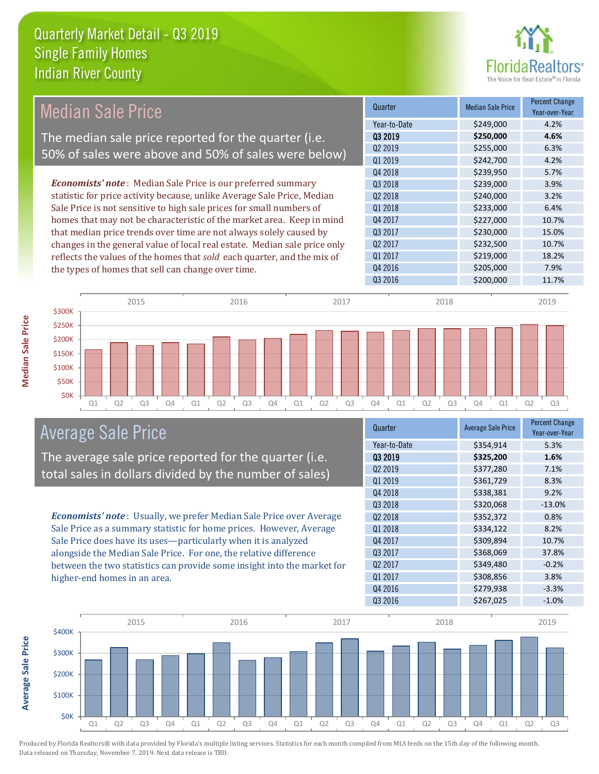

#### *Economists' note* : Median Sale Price is our preferred summary statistic for price activity because, unlike Average Sale Price, Median Sale Price is not sensitive to high sale prices for small numbers of homes that may not be characteristic of the market area. Keep in mind that median price trends over time are not always solely caused by changes in the general value of local real estate. Median sale price only reflects the values of the homes that *sold* each quarter, and the mix of the types of homes that sell can change over time. Q3 2016 \$200,000 \$200,000 11.7% Q1 2017 **\$219,000 18.2%** Q4 2016 **\$205,000 7.9%** Q3 2017 \$230,000 15.0% Q2 2017 \$232,500 10.7% \$239,950 5.7% Q3 2018 **\$239,000 3.9%** Q4 2017 \$227,000 10.7% Q2 2019 \$255,000 6.3% Q1 2019 \$242,700 4.2% Q2 2018 \$240,000 3.2% Q1 2018 **\$233,000 6.4%** Q4 2018 Quarter Median Sale Price Percent Change Year-over-Year Q3 2019 **\$250,000 4.6%** Year-to-Date \$249,000 4.2% 2015 2016 2017 2018 2019 Median Sale Price The median sale price reported for the quarter (i.e. 50% of sales were above and 50% of sales were below)



# Average Sale Price

The average sale price reported for the quarter (i.e. total sales in dollars divided by the number of sales)

*Economists' note* : Usually, we prefer Median Sale Price over Average Sale Price as a summary statistic for home prices. However, Average Sale Price does have its uses—particularly when it is analyzed alongside the Median Sale Price. For one, the relative difference between the two statistics can provide some insight into the market for higher-end homes in an area.

| Quarter             | <b>Average Sale Price</b> | <b>Percent Change</b><br>Year-over-Year |
|---------------------|---------------------------|-----------------------------------------|
| Year-to-Date        | \$354,914                 | 5.3%                                    |
| 03 2019             | \$325,200                 | 1.6%                                    |
| Q <sub>2</sub> 2019 | \$377,280                 | 7.1%                                    |
| Q1 2019             | \$361,729                 | 8.3%                                    |
| Q4 2018             | \$338,381                 | 9.2%                                    |
| Q3 2018             | \$320,068                 | $-13.0%$                                |
| Q <sub>2</sub> 2018 | \$352,372                 | 0.8%                                    |
| 01 2018             | \$334,122                 | 8.2%                                    |
| Q4 2017             | \$309,894                 | 10.7%                                   |
| Q3 2017             | \$368,069                 | 37.8%                                   |
| 02 2017             | \$349,480                 | $-0.2%$                                 |
| Q1 2017             | \$308,856                 | 3.8%                                    |
| Q4 2016             | \$279,938                 | $-3.3%$                                 |
| Q3 2016             | \$267,025                 | $-1.0%$                                 |



Produced by Florida Realtors® with data provided by Florida's multiple listing services. Statistics for each month compiled from MLS feeds on the 15th day of the following month. Data released on Thursday, November 7, 2019. Next data release is TBD.

**Average Sale Price**

Average Sale Price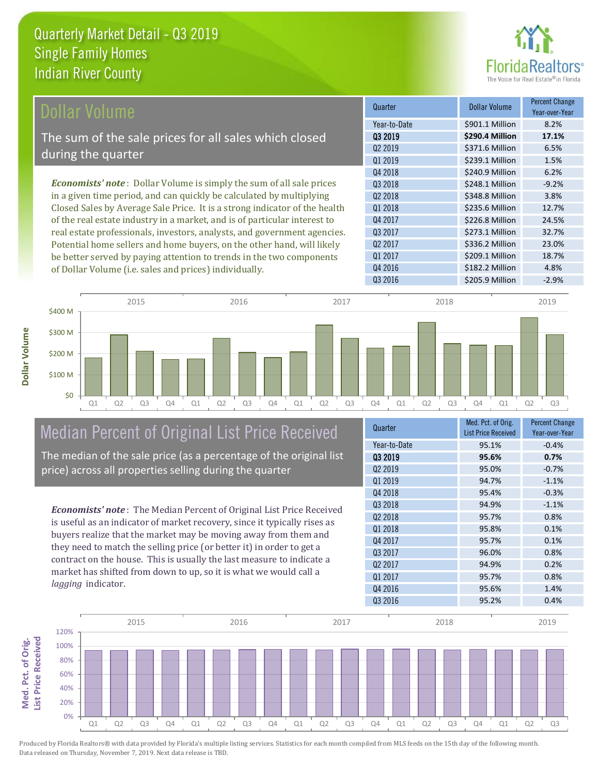

| Dollar Volume                                                                | Quarter             | <b>Dollar Volume</b> | <b>Percent Change</b><br>Year-over-Year |
|------------------------------------------------------------------------------|---------------------|----------------------|-----------------------------------------|
|                                                                              | Year-to-Date        | \$901.1 Million      | 8.2%                                    |
| The sum of the sale prices for all sales which closed                        | 03 2019             | \$290.4 Million      | 17.1%                                   |
| during the quarter                                                           | Q <sub>2</sub> 2019 | \$371.6 Million      | 6.5%                                    |
|                                                                              | Q1 2019             | \$239.1 Million      | 1.5%                                    |
|                                                                              | Q4 2018             | \$240.9 Million      | 6.2%                                    |
| <b>Economists' note</b> : Dollar Volume is simply the sum of all sale prices | 03 2018             | \$248.1 Million      | $-9.2%$                                 |
| in a given time period, and can quickly be calculated by multiplying         | Q <sub>2</sub> 2018 | \$348.8 Million      | 3.8%                                    |
| Closed Sales by Average Sale Price. It is a strong indicator of the health   | Q1 2018             | \$235.6 Million      | 12.7%                                   |
| of the real estate industry in a market, and is of particular interest to    | Q4 2017             | \$226.8 Million      | 24.5%                                   |
| real estate professionals, investors, analysts, and government agencies.     | Q3 2017             | \$273.1 Million      | 32.7%                                   |
| Potential home sellers and home buyers, on the other hand, will likely       | Q <sub>2</sub> 2017 | \$336.2 Million      | 23.0%                                   |
| be better served by paying attention to trends in the two components         | Q1 2017             | \$209.1 Million      | 18.7%                                   |

Q1 Q2 Q3 Q4 Q1 Q2 Q3 Q4 Q1 Q2 Q3 Q4 Q1 Q2 Q3 Q4 Q1 Q2 Q3 \$0 \$100 M \$200 M \$300 M \$400 M 2015 2016 2017 2018 2019

# Median Percent of Original List Price Received

of Dollar Volume (i.e. sales and prices) individually.

The median of the sale price (as a percentage of the original list price) across all properties selling during the quarter

*Economists' note* : The Median Percent of Original List Price Received is useful as an indicator of market recovery, since it typically rises as buyers realize that the market may be moving away from them and they need to match the selling price (or better it) in order to get a contract on the house. This is usually the last measure to indicate a market has shifted from down to up, so it is what we would call a *lagging* indicator.

| Quarter             | Med. Pct. of Orig.<br><b>List Price Received</b> | <b>Percent Change</b><br>Year-over-Year |
|---------------------|--------------------------------------------------|-----------------------------------------|
| Year-to-Date        | 95.1%                                            | $-0.4%$                                 |
| 03 2019             | 95.6%                                            | 0.7%                                    |
| Q <sub>2</sub> 2019 | 95.0%                                            | $-0.7%$                                 |
| 01 2019             | 94.7%                                            | $-1.1%$                                 |
| Q4 2018             | 95.4%                                            | $-0.3%$                                 |
| 03 2018             | 94.9%                                            | $-1.1%$                                 |
| Q <sub>2</sub> 2018 | 95.7%                                            | 0.8%                                    |
| 01 2018             | 95.8%                                            | 0.1%                                    |
| 04 2017             | 95.7%                                            | 0.1%                                    |
| Q3 2017             | 96.0%                                            | 0.8%                                    |
| Q <sub>2</sub> 2017 | 94.9%                                            | 0.2%                                    |
| 01 2017             | 95.7%                                            | 0.8%                                    |
| Q4 2016             | 95.6%                                            | 1.4%                                    |
| Q3 2016             | 95.2%                                            | 0.4%                                    |

Q4 2016 \$182.2 Million 4.8%

Q3 2016 **S** 205.9 Million -2.9%

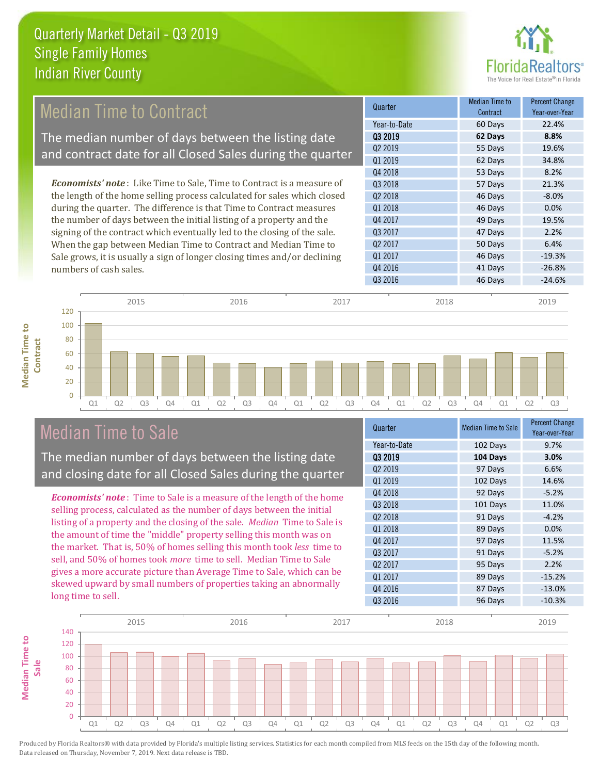

#### *Economists' note* : Like Time to Sale, Time to Contract is a measure of the length of the home selling process calculated for sales which closed during the quarter. The difference is that Time to Contract measures the number of days between the initial listing of a property and the signing of the contract which eventually led to the closing of the sale. When the gap between Median Time to Contract and Median Time to Sale grows, it is usually a sign of longer closing times and/or declining numbers of cash sales. Q4 2016 **41 Days** -26.8% Q3 2016 **46 Days** -24.6% 50 Days 6.4% Q1 2017 **46 Days** 46 Days 46 Days 46 Days 46 Days 49:3% Q2 2017 Q3 2018 **57 Days** 21.3% Q2 2018 **46 Days** -8.0% Q1 2018 **46 Days 0.0%** Q4 2017 **49 Days** 19.5% Q3 2017 47 Days 2.2% **Quarter Median Time to Redistribution** Median Time to Research **Contract** Percent Change Year-over-Year Q3 2019 **62 Days 8.8%** Year-to-Date 60 Days 22.4% Q2 2019 55 Days 19.6% Q1 2019 **62 Days 34.8%** Q4 2018 **53 Days** 53 Days 8.2% Median Time to Contract The median number of days between the listing date and contract date for all Closed Sales during the quarter



# Median Time to Sale

**Median Time to** 

**Median Time to** 

The median number of days between the listing date and closing date for all Closed Sales during the quarter

*Economists' note* : Time to Sale is a measure of the length of the home selling process, calculated as the number of days between the initial listing of a property and the closing of the sale. *Median* Time to Sale is the amount of time the "middle" property selling this month was on the market. That is, 50% of homes selling this month took *less* time to sell, and 50% of homes took *more* time to sell. Median Time to Sale gives a more accurate picture than Average Time to Sale, which can be skewed upward by small numbers of properties taking an abnormally long time to sell.

| Quarter             | <b>Median Time to Sale</b> | <b>Percent Change</b><br>Year-over-Year |
|---------------------|----------------------------|-----------------------------------------|
| Year-to-Date        | 102 Days                   | 9.7%                                    |
| 03 2019             | 104 Days                   | 3.0%                                    |
| 02 2019             | 97 Days                    | 6.6%                                    |
| Q1 2019             | 102 Days                   | 14.6%                                   |
| Q4 2018             | 92 Days                    | $-5.2%$                                 |
| Q3 2018             | 101 Days                   | 11.0%                                   |
| 02 2018             | 91 Days                    | $-4.2%$                                 |
| Q1 2018             | 89 Days                    | 0.0%                                    |
| Q4 2017             | 97 Days                    | 11.5%                                   |
| Q3 2017             | 91 Days                    | $-5.2%$                                 |
| Q <sub>2</sub> 2017 | 95 Days                    | 2.2%                                    |
| Q1 2017             | 89 Days                    | $-15.2%$                                |
| Q4 2016             | 87 Days                    | $-13.0%$                                |
| Q3 2016             | 96 Days                    | $-10.3%$                                |

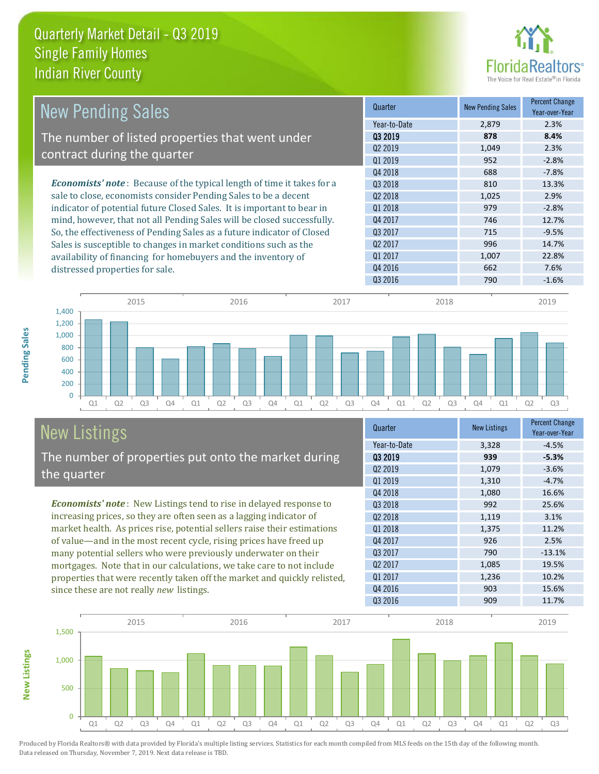

| <b>New Pending Sales</b>                                                      | Quarter             | <b>New Pending Sales</b> | <b>Percent Change</b><br>Year-over-Year |
|-------------------------------------------------------------------------------|---------------------|--------------------------|-----------------------------------------|
|                                                                               | Year-to-Date        | 2,879                    | 2.3%                                    |
| The number of listed properties that went under                               | 03 2019             | 878                      | 8.4%                                    |
| contract during the quarter                                                   | 02 2019             | 1,049                    | 2.3%                                    |
|                                                                               | Q1 2019             | 952                      | $-2.8%$                                 |
|                                                                               | Q4 2018             | 688                      | $-7.8\%$                                |
| <b>Economists' note:</b> Because of the typical length of time it takes for a | 03 2018             | 810                      | 13.3%                                   |
| sale to close, economists consider Pending Sales to be a decent               | 02 2018             | 1,025                    | 2.9%                                    |
| indicator of potential future Closed Sales. It is important to bear in        | 01 2018             | 979                      | $-2.8%$                                 |
| mind, however, that not all Pending Sales will be closed successfully.        | Q4 2017             | 746                      | 12.7%                                   |
| So, the effectiveness of Pending Sales as a future indicator of Closed        | Q3 2017             | 715                      | $-9.5%$                                 |
| Sales is susceptible to changes in market conditions such as the              | Q <sub>2</sub> 2017 | 996                      | 14.7%                                   |
| availability of financing for homebuyers and the inventory of                 | Q1 2017             | 1,007                    | 22.8%                                   |
| distressed properties for sale.                                               | Q4 2016             | 662                      | 7.6%                                    |
|                                                                               | 03 2016             | 790                      | $-1.6%$                                 |

**New Listings**



# New Listings The number of properties put onto the market during the quarter

since these are not really *new* listings.

*Economists' note* : New Listings tend to rise in delayed response to increasing prices, so they are often seen as a lagging indicator of market health. As prices rise, potential sellers raise their estimations of value—and in the most recent cycle, rising prices have freed up many potential sellers who were previously underwater on their mortgages. Note that in our calculations, we take care to not include properties that were recently taken off the market and quickly relisted,

| Quarter      | <b>New Listings</b> | <b>Percent Change</b><br>Year-over-Year |
|--------------|---------------------|-----------------------------------------|
| Year-to-Date | 3,328               | $-4.5%$                                 |
| 03 2019      | 939                 | $-5.3%$                                 |
| 02 2019      | 1,079               | $-3.6%$                                 |
| Q1 2019      | 1,310               | $-4.7%$                                 |
| Q4 2018      | 1,080               | 16.6%                                   |
| 03 2018      | 992                 | 25.6%                                   |
| 02 2018      | 1,119               | 3.1%                                    |
| Q1 2018      | 1,375               | 11.2%                                   |
| Q4 2017      | 926                 | 2.5%                                    |
| Q3 2017      | 790                 | $-13.1%$                                |
| 02 2017      | 1,085               | 19.5%                                   |
| Q1 2017      | 1,236               | 10.2%                                   |
| Q4 2016      | 903                 | 15.6%                                   |
| Q3 2016      | 909                 | 11.7%                                   |
|              |                     |                                         |

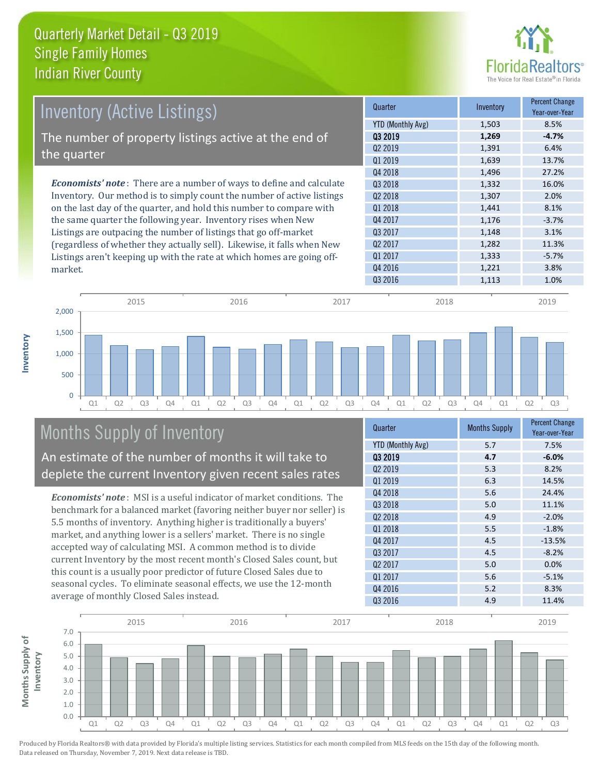

| <b>Inventory (Active Listings)</b>                                           | Quarter             | Inventory | <b>Percent Change</b><br>Year-over-Year |
|------------------------------------------------------------------------------|---------------------|-----------|-----------------------------------------|
|                                                                              | YTD (Monthly Avg)   | 1,503     | 8.5%                                    |
| The number of property listings active at the end of                         | 03 2019             | 1,269     | $-4.7%$                                 |
|                                                                              | Q <sub>2</sub> 2019 | 1,391     | 6.4%                                    |
| the quarter                                                                  | Q1 2019             | 1,639     | 13.7%                                   |
|                                                                              | Q4 2018             | 1,496     | 27.2%                                   |
| <b>Economists' note</b> : There are a number of ways to define and calculate | Q3 2018             | 1,332     | 16.0%                                   |
| Inventory. Our method is to simply count the number of active listings       | Q <sub>2</sub> 2018 | 1,307     | 2.0%                                    |
| on the last day of the quarter, and hold this number to compare with         | Q1 2018             | 1,441     | 8.1%                                    |
| the same quarter the following year. Inventory rises when New                | Q4 2017             | 1,176     | $-3.7%$                                 |
| Listings are outpacing the number of listings that go off-market             | Q3 2017             | 1,148     | 3.1%                                    |
| (regardless of whether they actually sell). Likewise, it falls when New      | Q <sub>2</sub> 2017 | 1,282     | 11.3%                                   |
| Listings aren't keeping up with the rate at which homes are going off-       | Q1 2017             | 1,333     | $-5.7%$                                 |
| market.                                                                      | Q4 2016             | 1,221     | 3.8%                                    |



# Months Supply of Inventory

**Inventory**

An estimate of the number of months it will take to deplete the current Inventory given recent sales rates

*Economists' note* : MSI is a useful indicator of market conditions. The benchmark for a balanced market (favoring neither buyer nor seller) is 5.5 months of inventory. Anything higher is traditionally a buyers' market, and anything lower is a sellers' market. There is no single accepted way of calculating MSI. A common method is to divide current Inventory by the most recent month's Closed Sales count, but this count is a usually poor predictor of future Closed Sales due to seasonal cycles. To eliminate seasonal effects, we use the 12-month average of monthly Closed Sales instead.

| Quarter                  | <b>Months Supply</b> | <b>Percent Change</b><br>Year-over-Year |
|--------------------------|----------------------|-----------------------------------------|
| <b>YTD (Monthly Avg)</b> | 5.7                  | 7.5%                                    |
| 03 2019                  | 4.7                  | $-6.0%$                                 |
| Q <sub>2</sub> 2019      | 5.3                  | 8.2%                                    |
| Q1 2019                  | 6.3                  | 14.5%                                   |
| Q4 2018                  | 5.6                  | 24.4%                                   |
| Q3 2018                  | 5.0                  | 11.1%                                   |
| Q <sub>2</sub> 2018      | 4.9                  | $-2.0%$                                 |
| 01 2018                  | 5.5                  | $-1.8%$                                 |
| Q4 2017                  | 4.5                  | $-13.5%$                                |
| Q3 2017                  | 4.5                  | $-8.2%$                                 |
| Q <sub>2</sub> 2017      | 5.0                  | 0.0%                                    |
| Q1 2017                  | 5.6                  | $-5.1%$                                 |
| Q4 2016                  | 5.2                  | 8.3%                                    |
| Q3 2016                  | 4.9                  | 11.4%                                   |

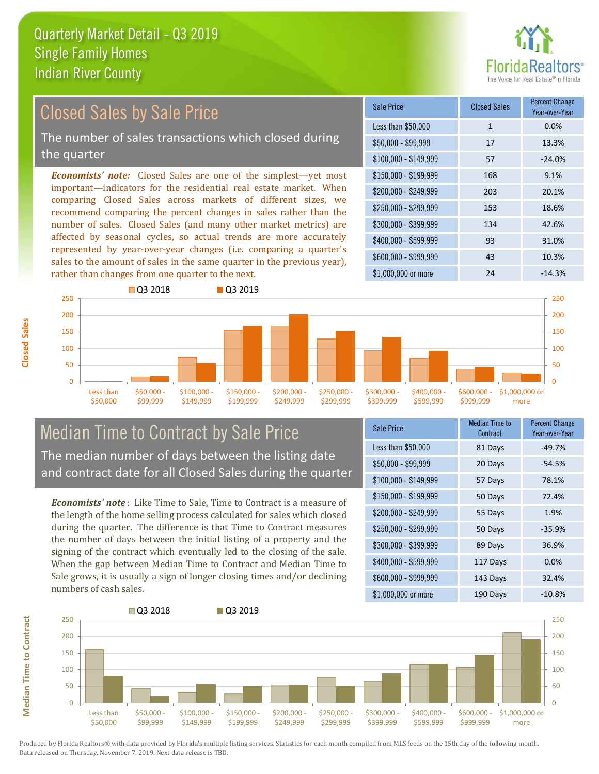

#### \$100,000 - \$149,999 57 -24.0% Sale Price Closed Sales Percent Change Year-over-Year Less than \$50,000 1 1 0.0% \$50,000 - \$99,999 17 13.3% \$150,000 - \$199,999 168 9.1% \$200,000 - \$249,999 203 20.1% \$400,000 - \$599,999 93 31.0% \$600,000 - \$999,999 43 10.3% *Economists' note:* Closed Sales are one of the simplest—yet most important—indicators for the residential real estate market. When comparing Closed Sales across markets of different sizes, we recommend comparing the percent changes in sales rather than the number of sales. Closed Sales (and many other market metrics) are affected by seasonal cycles, so actual trends are more accurately represented by year-over-year changes (i.e. comparing a quarter's sales to the amount of sales in the same quarter in the previous year), rather than changes from one quarter to the next. \$1,000,000 or more 24 24 -14.3% \$250,000 - \$299,999 153 18.6% \$300,000 - \$399,999 134 42.6% **Q3 2018** Q3 2019 Closed Sales by Sale Price The number of sales transactions which closed during the quarter



# Median Time to Contract by Sale Price The median number of days between the listing date and contract date for all Closed Sales during the quarter

*Economists' note* : Like Time to Sale, Time to Contract is a measure of the length of the home selling process calculated for sales which closed during the quarter. The difference is that Time to Contract measures the number of days between the initial listing of a property and the signing of the contract which eventually led to the closing of the sale. When the gap between Median Time to Contract and Median Time to Sale grows, it is usually a sign of longer closing times and/or declining numbers of cash sales.

| <b>Sale Price</b>     | Median Time to<br>Contract | Percent Change<br>Year-over-Year |
|-----------------------|----------------------------|----------------------------------|
| Less than \$50,000    | 81 Days                    | $-49.7%$                         |
| \$50,000 - \$99,999   | 20 Days                    | -54.5%                           |
| $$100,000 - $149,999$ | 57 Days                    | 78.1%                            |
| $$150,000 - $199,999$ | 50 Days                    | 72.4%                            |
| \$200,000 - \$249,999 | 55 Days                    | 1.9%                             |
| \$250,000 - \$299,999 | 50 Days                    | $-35.9%$                         |
| \$300,000 - \$399,999 | 89 Days                    | 36.9%                            |
| \$400,000 - \$599,999 | 117 Days                   | 0.0%                             |
| \$600,000 - \$999,999 | 143 Days                   | 32.4%                            |
| \$1,000,000 or more   | 190 Days                   | $-10.8%$                         |



**Closed Sales**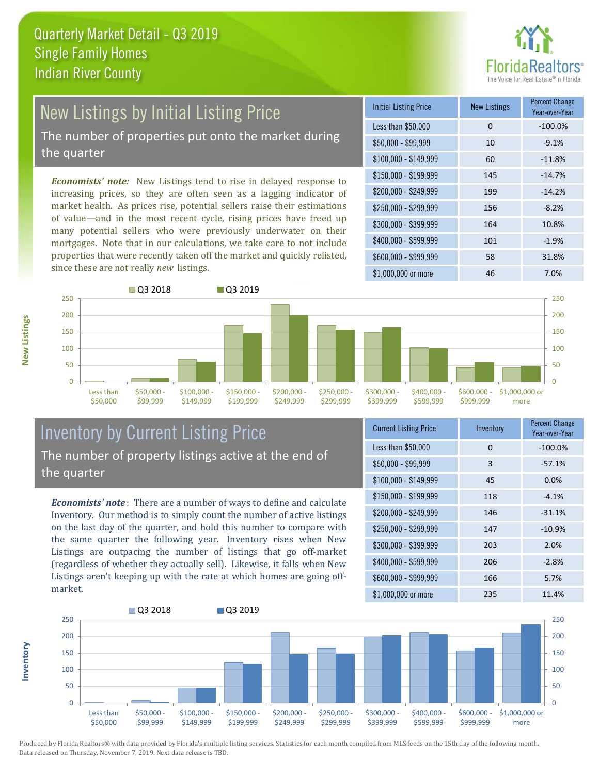

# New Listings by Initial Listing Price

The number of properties put onto the market during the quarter

*Economists' note:* New Listings tend to rise in delayed response to increasing prices, so they are often seen as a lagging indicator of market health. As prices rise, potential sellers raise their estimations of value—and in the most recent cycle, rising prices have freed up many potential sellers who were previously underwater on their mortgages. Note that in our calculations, we take care to not include properties that were recently taken off the market and quickly relisted, since these are not really *new* listings.





# Inventory by Current Listing Price The number of property listings active at the end of the quarter

*Economists' note* : There are a number of ways to define and calculate Inventory. Our method is to simply count the number of active listings on the last day of the quarter, and hold this number to compare with the same quarter the following year. Inventory rises when New Listings are outpacing the number of listings that go off-market (regardless of whether they actually sell). Likewise, it falls when New Listings aren't keeping up with the rate at which homes are going offmarket.

| <b>Current Listing Price</b> | Inventory | <b>Percent Change</b><br>Year-over-Year |
|------------------------------|-----------|-----------------------------------------|
| Less than \$50,000           | 0         | $-100.0%$                               |
| $$50,000 - $99,999$          | 3         | $-57.1%$                                |
| $$100,000 - $149,999$        | 45        | 0.0%                                    |
| $$150,000 - $199,999$        | 118       | $-4.1%$                                 |
| \$200,000 - \$249,999        | 146       | $-31.1%$                                |
| \$250,000 - \$299,999        | 147       | $-10.9%$                                |
| \$300,000 - \$399,999        | 203       | 2.0%                                    |
| \$400,000 - \$599,999        | 206       | $-2.8%$                                 |
| \$600,000 - \$999,999        | 166       | 5.7%                                    |
| \$1,000,000 or more          | 235       | 11.4%                                   |



Produced by Florida Realtors® with data provided by Florida's multiple listing services. Statistics for each month compiled from MLS feeds on the 15th day of the following month. Data released on Thursday, November 7, 2019. Next data release is TBD.

**Inventory**